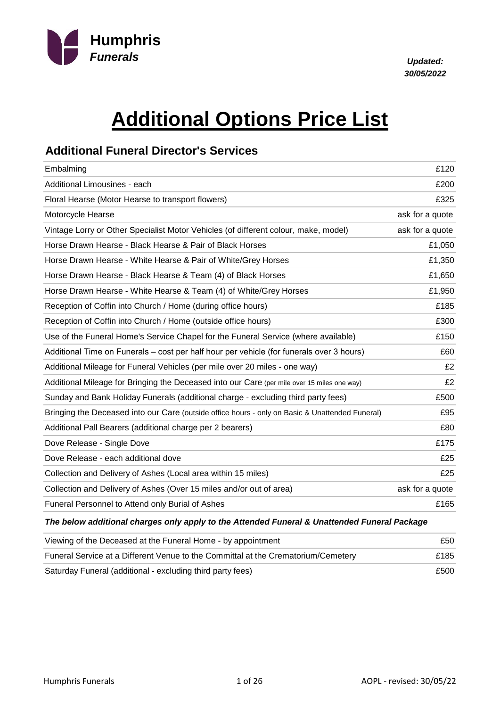

# **Additional Options Price List**

### **Additional Funeral Director's Services**

| Embalming                                                                                       | £120            |
|-------------------------------------------------------------------------------------------------|-----------------|
| Additional Limousines - each                                                                    | £200            |
| Floral Hearse (Motor Hearse to transport flowers)                                               | £325            |
| Motorcycle Hearse                                                                               | ask for a quote |
| Vintage Lorry or Other Specialist Motor Vehicles (of different colour, make, model)             | ask for a quote |
| Horse Drawn Hearse - Black Hearse & Pair of Black Horses                                        | £1,050          |
| Horse Drawn Hearse - White Hearse & Pair of White/Grey Horses                                   | £1,350          |
| Horse Drawn Hearse - Black Hearse & Team (4) of Black Horses                                    | £1,650          |
| Horse Drawn Hearse - White Hearse & Team (4) of White/Grey Horses                               | £1,950          |
| Reception of Coffin into Church / Home (during office hours)                                    | £185            |
| Reception of Coffin into Church / Home (outside office hours)                                   | £300            |
| Use of the Funeral Home's Service Chapel for the Funeral Service (where available)              | £150            |
| Additional Time on Funerals – cost per half hour per vehicle (for funerals over 3 hours)        | £60             |
| Additional Mileage for Funeral Vehicles (per mile over 20 miles - one way)                      | £2              |
| Additional Mileage for Bringing the Deceased into our Care (per mile over 15 miles one way)     | £2              |
| Sunday and Bank Holiday Funerals (additional charge - excluding third party fees)               | £500            |
| Bringing the Deceased into our Care (outside office hours - only on Basic & Unattended Funeral) | £95             |
| Additional Pall Bearers (additional charge per 2 bearers)                                       | £80             |
| Dove Release - Single Dove                                                                      | £175            |
| Dove Release - each additional dove                                                             | £25             |
| Collection and Delivery of Ashes (Local area within 15 miles)                                   | £25             |
| Collection and Delivery of Ashes (Over 15 miles and/or out of area)                             | ask for a quote |
| Funeral Personnel to Attend only Burial of Ashes                                                | £165            |
|                                                                                                 |                 |

#### *The below additional charges only apply to the Attended Funeral & Unattended Funeral Package*

| Viewing of the Deceased at the Funeral Home - by appointment                      | £50. |
|-----------------------------------------------------------------------------------|------|
| Funeral Service at a Different Venue to the Committal at the Crematorium/Cemetery | £185 |
| Saturday Funeral (additional - excluding third party fees)                        | £500 |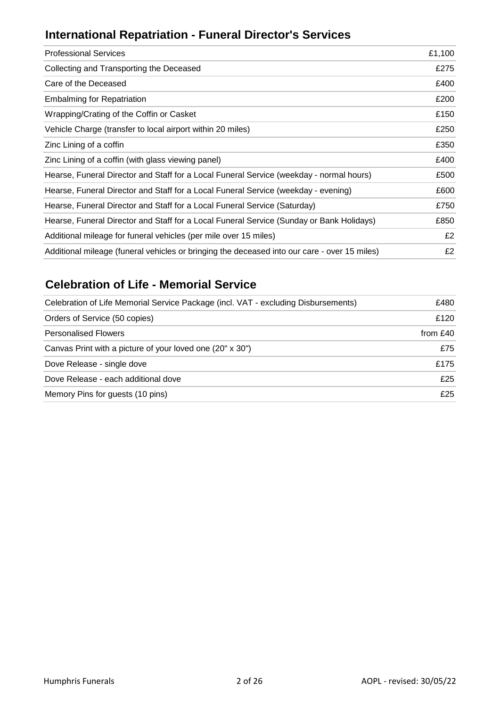### **International Repatriation - Funeral Director's Services**

| <b>Professional Services</b>                                                                 | £1,100 |
|----------------------------------------------------------------------------------------------|--------|
| Collecting and Transporting the Deceased                                                     | £275   |
| Care of the Deceased                                                                         | £400   |
| <b>Embalming for Repatriation</b>                                                            | £200   |
| Wrapping/Crating of the Coffin or Casket                                                     | £150   |
| Vehicle Charge (transfer to local airport within 20 miles)                                   | £250   |
| Zinc Lining of a coffin                                                                      | £350   |
| Zinc Lining of a coffin (with glass viewing panel)                                           | £400   |
| Hearse, Funeral Director and Staff for a Local Funeral Service (weekday - normal hours)      | £500   |
| Hearse, Funeral Director and Staff for a Local Funeral Service (weekday - evening)           | £600   |
| Hearse, Funeral Director and Staff for a Local Funeral Service (Saturday)                    | £750   |
| Hearse, Funeral Director and Staff for a Local Funeral Service (Sunday or Bank Holidays)     | £850   |
| Additional mileage for funeral vehicles (per mile over 15 miles)                             | £2     |
| Additional mileage (funeral vehicles or bringing the deceased into our care - over 15 miles) | £2     |
|                                                                                              |        |

### **Celebration of Life - Memorial Service**

| Celebration of Life Memorial Service Package (incl. VAT - excluding Disbursements) | £480     |
|------------------------------------------------------------------------------------|----------|
| Orders of Service (50 copies)                                                      | £120     |
| <b>Personalised Flowers</b>                                                        | from £40 |
| Canvas Print with a picture of your loved one (20" x 30")                          | £75      |
| Dove Release - single dove                                                         | £175     |
| Dove Release - each additional dove                                                | £25      |
| Memory Pins for guests (10 pins)                                                   | £25      |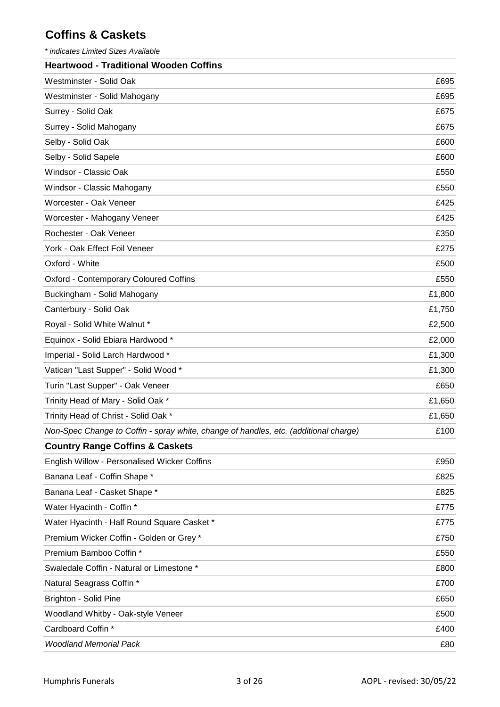### **Coffins & Caskets**

*\* indicates Limited Sizes Available*

| <b>Heartwood - Traditional Wooden Coffins</b>                                        |        |
|--------------------------------------------------------------------------------------|--------|
| Westminster - Solid Oak                                                              | £695   |
| Westminster - Solid Mahogany                                                         | £695   |
| Surrey - Solid Oak                                                                   | £675   |
| Surrey - Solid Mahogany                                                              | £675   |
| Selby - Solid Oak                                                                    | £600   |
| Selby - Solid Sapele                                                                 | £600   |
| Windsor - Classic Oak                                                                | £550   |
| Windsor - Classic Mahogany                                                           | £550   |
| Worcester - Oak Veneer                                                               | £425   |
| Worcester - Mahogany Veneer                                                          | £425   |
| Rochester - Oak Veneer                                                               | £350   |
| York - Oak Effect Foil Veneer                                                        | £275   |
| Oxford - White                                                                       | £500   |
| <b>Oxford - Contemporary Coloured Coffins</b>                                        | £550   |
| Buckingham - Solid Mahogany                                                          | £1,800 |
| Canterbury - Solid Oak                                                               | £1,750 |
| Royal - Solid White Walnut *                                                         | £2,500 |
| Equinox - Solid Ebiara Hardwood *                                                    | £2,000 |
| Imperial - Solid Larch Hardwood *                                                    | £1,300 |
| Vatican "Last Supper" - Solid Wood *                                                 | £1,300 |
| Turin "Last Supper" - Oak Veneer                                                     | £650   |
| Trinity Head of Mary - Solid Oak *                                                   | £1,650 |
| Trinity Head of Christ - Solid Oak *                                                 | £1,650 |
| Non-Spec Change to Coffin - spray white, change of handles, etc. (additional charge) | £100   |
| <b>Country Range Coffins &amp; Caskets</b>                                           |        |
| <b>English Willow - Personalised Wicker Coffins</b>                                  | £950   |
| Banana Leaf - Coffin Shape *                                                         | £825   |
| Banana Leaf - Casket Shape *                                                         | £825   |
| Water Hyacinth - Coffin *                                                            | £775   |
| Water Hyacinth - Half Round Square Casket *                                          | £775   |
| Premium Wicker Coffin - Golden or Grey *                                             | £750   |
| Premium Bamboo Coffin *                                                              | £550   |
| Swaledale Coffin - Natural or Limestone *                                            | £800   |
| Natural Seagrass Coffin *                                                            | £700   |
| Brighton - Solid Pine                                                                | £650   |
| Woodland Whitby - Oak-style Veneer                                                   | £500   |
| Cardboard Coffin *                                                                   | £400   |
| <b>Woodland Memorial Pack</b>                                                        | £80    |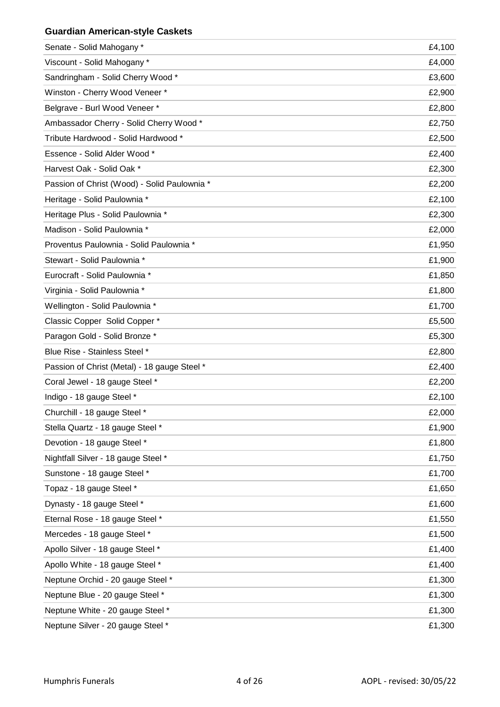#### **Guardian American-style Caskets**

| Senate - Solid Mahogany *                    | £4,100 |
|----------------------------------------------|--------|
| Viscount - Solid Mahogany *                  | £4,000 |
| Sandringham - Solid Cherry Wood *            | £3,600 |
| Winston - Cherry Wood Veneer *               | £2,900 |
| Belgrave - Burl Wood Veneer *                | £2,800 |
| Ambassador Cherry - Solid Cherry Wood *      | £2,750 |
| Tribute Hardwood - Solid Hardwood *          | £2,500 |
| Essence - Solid Alder Wood *                 | £2,400 |
| Harvest Oak - Solid Oak *                    | £2,300 |
| Passion of Christ (Wood) - Solid Paulownia * | £2,200 |
| Heritage - Solid Paulownia *                 | £2,100 |
| Heritage Plus - Solid Paulownia *            | £2,300 |
| Madison - Solid Paulownia *                  | £2,000 |
| Proventus Paulownia - Solid Paulownia *      | £1,950 |
| Stewart - Solid Paulownia *                  | £1,900 |
| Eurocraft - Solid Paulownia *                | £1,850 |
| Virginia - Solid Paulownia *                 | £1,800 |
| Wellington - Solid Paulownia *               | £1,700 |
| Classic Copper Solid Copper *                | £5,500 |
| Paragon Gold - Solid Bronze *                | £5,300 |
| Blue Rise - Stainless Steel *                | £2,800 |
| Passion of Christ (Metal) - 18 gauge Steel * | £2,400 |
| Coral Jewel - 18 gauge Steel *               | £2,200 |
| Indigo - 18 gauge Steel *                    | £2,100 |
| Churchill - 18 gauge Steel *                 | £2,000 |
| Stella Quartz - 18 gauge Steel *             | £1,900 |
| Devotion - 18 gauge Steel *                  | £1,800 |
| Nightfall Silver - 18 gauge Steel *          | £1,750 |
| Sunstone - 18 gauge Steel *                  | £1,700 |
| Topaz - 18 gauge Steel *                     | £1,650 |
| Dynasty - 18 gauge Steel *                   | £1,600 |
| Eternal Rose - 18 gauge Steel *              | £1,550 |
| Mercedes - 18 gauge Steel *                  | £1,500 |
| Apollo Silver - 18 gauge Steel *             | £1,400 |
| Apollo White - 18 gauge Steel *              | £1,400 |
| Neptune Orchid - 20 gauge Steel *            | £1,300 |
| Neptune Blue - 20 gauge Steel *              | £1,300 |
| Neptune White - 20 gauge Steel *             | £1,300 |
| Neptune Silver - 20 gauge Steel *            | £1,300 |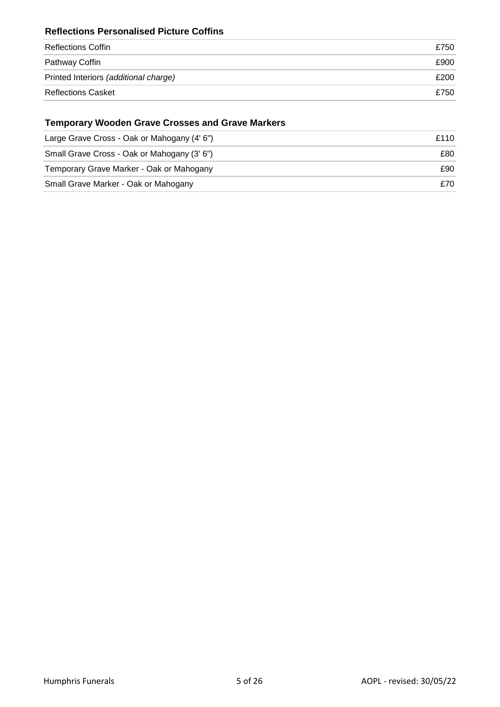#### **Reflections Personalised Picture Coffins**

| Reflections Coffin                    | £750 |
|---------------------------------------|------|
| Pathway Coffin                        | £900 |
| Printed Interiors (additional charge) | £200 |
| <b>Reflections Casket</b>             | £750 |

#### **Temporary Wooden Grave Crosses and Grave Markers**

| Large Grave Cross - Oak or Mahogany (4' 6") | £110 |
|---------------------------------------------|------|
| Small Grave Cross - Oak or Mahogany (3' 6") | £80  |
| Temporary Grave Marker - Oak or Mahogany    | £90  |
| Small Grave Marker - Oak or Mahogany        | £70  |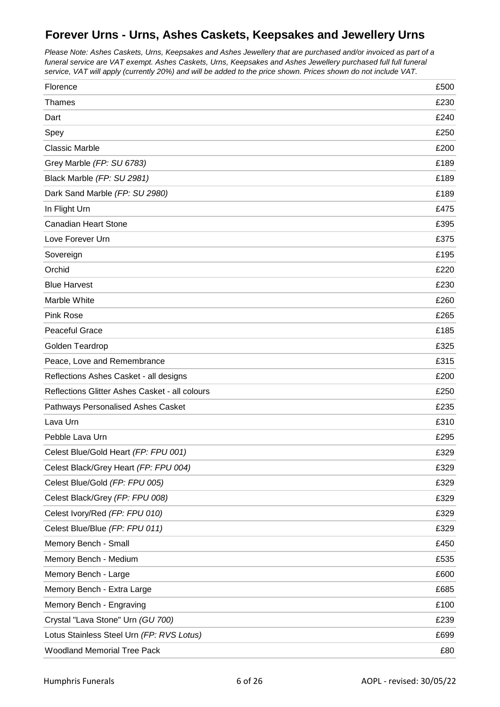#### **Forever Urns - Urns, Ashes Caskets, Keepsakes and Jewellery Urns**

*Please Note: Ashes Caskets, Urns, Keepsakes and Ashes Jewellery that are purchased and/or invoiced as part of a funeral service are VAT exempt. Ashes Caskets, Urns, Keepsakes and Ashes Jewellery purchased full full funeral service, VAT will apply (currently 20%) and will be added to the price shown. Prices shown do not include VAT.*

| Florence                                       | £500 |
|------------------------------------------------|------|
| <b>Thames</b>                                  | £230 |
| Dart                                           | £240 |
| Spey                                           | £250 |
| <b>Classic Marble</b>                          | £200 |
| Grey Marble (FP: SU 6783)                      | £189 |
| Black Marble (FP: SU 2981)                     | £189 |
| Dark Sand Marble (FP: SU 2980)                 | £189 |
| In Flight Urn                                  | £475 |
| <b>Canadian Heart Stone</b>                    | £395 |
| Love Forever Urn                               | £375 |
| Sovereign                                      | £195 |
| Orchid                                         | £220 |
| <b>Blue Harvest</b>                            | £230 |
| Marble White                                   | £260 |
| <b>Pink Rose</b>                               | £265 |
| Peaceful Grace                                 | £185 |
| Golden Teardrop                                | £325 |
| Peace, Love and Remembrance                    | £315 |
| Reflections Ashes Casket - all designs         | £200 |
| Reflections Glitter Ashes Casket - all colours | £250 |
| Pathways Personalised Ashes Casket             | £235 |
| Lava Urn                                       | £310 |
| Pebble Lava Urn                                | £295 |
| Celest Blue/Gold Heart (FP: FPU 001)           | £329 |
| Celest Black/Grey Heart (FP: FPU 004)          | £329 |
| Celest Blue/Gold (FP: FPU 005)                 | £329 |
| Celest Black/Grey (FP: FPU 008)                | £329 |
| Celest Ivory/Red (FP: FPU 010)                 | £329 |
| Celest Blue/Blue (FP: FPU 011)                 | £329 |
| Memory Bench - Small                           | £450 |
| Memory Bench - Medium                          | £535 |
| Memory Bench - Large                           | £600 |
| Memory Bench - Extra Large                     | £685 |
| Memory Bench - Engraving                       | £100 |
| Crystal "Lava Stone" Urn (GU 700)              | £239 |
| Lotus Stainless Steel Urn (FP: RVS Lotus)      | £699 |
| <b>Woodland Memorial Tree Pack</b>             | £80  |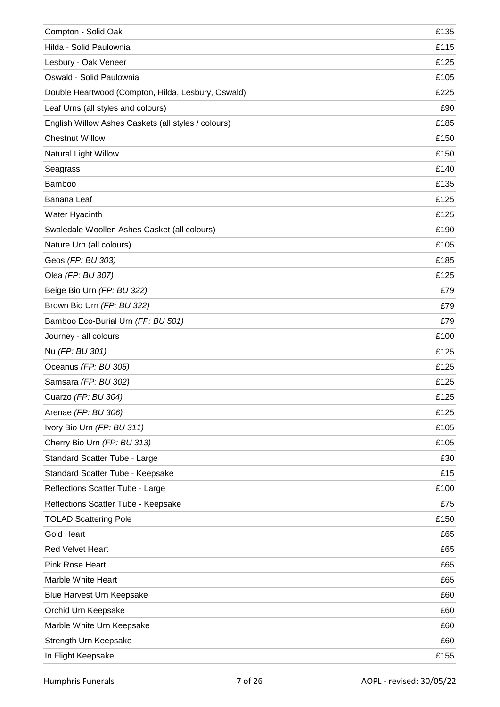| Compton - Solid Oak                                 | £135 |
|-----------------------------------------------------|------|
| Hilda - Solid Paulownia                             | £115 |
| Lesbury - Oak Veneer                                | £125 |
| Oswald - Solid Paulownia                            | £105 |
| Double Heartwood (Compton, Hilda, Lesbury, Oswald)  | £225 |
| Leaf Urns (all styles and colours)                  | £90  |
| English Willow Ashes Caskets (all styles / colours) | £185 |
| <b>Chestnut Willow</b>                              | £150 |
| Natural Light Willow                                | £150 |
| Seagrass                                            | £140 |
| Bamboo                                              | £135 |
| Banana Leaf                                         | £125 |
| Water Hyacinth                                      | £125 |
| Swaledale Woollen Ashes Casket (all colours)        | £190 |
| Nature Urn (all colours)                            | £105 |
| Geos (FP: BU 303)                                   | £185 |
| Olea (FP: BU 307)                                   | £125 |
| Beige Bio Urn (FP: BU 322)                          | £79  |
| Brown Bio Urn (FP: BU 322)                          | £79  |
| Bamboo Eco-Burial Urn (FP: BU 501)                  | £79  |
| Journey - all colours                               | £100 |
| Nu (FP: BU 301)                                     | £125 |
| Oceanus (FP: BU 305)                                | £125 |
| Samsara (FP: BU 302)                                | £125 |
| Cuarzo (FP: BU 304)                                 | £125 |
| Arenae (FP: BU 306)                                 | £125 |
| Ivory Bio Urn (FP: BU 311)                          | £105 |
| Cherry Bio Urn (FP: BU 313)                         | £105 |
| Standard Scatter Tube - Large                       | £30  |
| Standard Scatter Tube - Keepsake                    | £15  |
| Reflections Scatter Tube - Large                    | £100 |
| Reflections Scatter Tube - Keepsake                 | £75  |
| <b>TOLAD Scattering Pole</b>                        | £150 |
| <b>Gold Heart</b>                                   | £65  |
| <b>Red Velvet Heart</b>                             | £65  |
| Pink Rose Heart                                     | £65  |
| Marble White Heart                                  | £65  |
| Blue Harvest Urn Keepsake                           | £60  |
| Orchid Urn Keepsake                                 | £60  |
| Marble White Urn Keepsake                           | £60  |
| Strength Urn Keepsake                               | £60  |
| In Flight Keepsake                                  | £155 |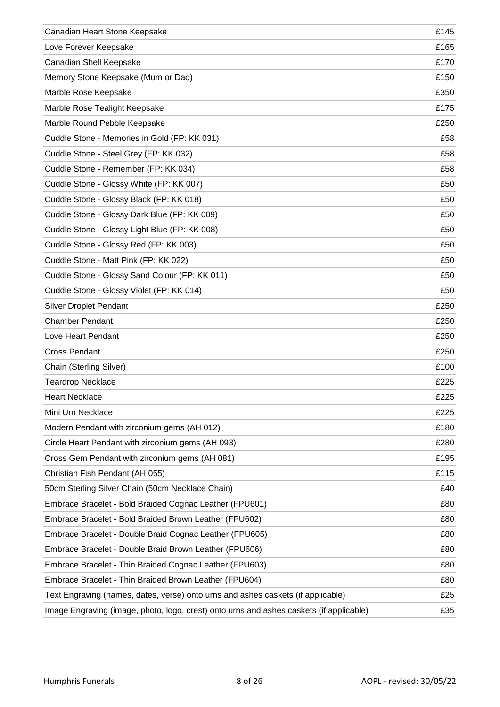| Canadian Heart Stone Keepsake                                                           | £145 |
|-----------------------------------------------------------------------------------------|------|
| Love Forever Keepsake                                                                   | £165 |
| Canadian Shell Keepsake                                                                 | £170 |
| Memory Stone Keepsake (Mum or Dad)                                                      | £150 |
| Marble Rose Keepsake                                                                    | £350 |
| Marble Rose Tealight Keepsake                                                           | £175 |
| Marble Round Pebble Keepsake                                                            | £250 |
| Cuddle Stone - Memories in Gold (FP: KK 031)                                            | £58  |
| Cuddle Stone - Steel Grey (FP: KK 032)                                                  | £58  |
| Cuddle Stone - Remember (FP: KK 034)                                                    | £58  |
| Cuddle Stone - Glossy White (FP: KK 007)                                                | £50  |
| Cuddle Stone - Glossy Black (FP: KK 018)                                                | £50  |
| Cuddle Stone - Glossy Dark Blue (FP: KK 009)                                            | £50  |
| Cuddle Stone - Glossy Light Blue (FP: KK 008)                                           | £50  |
| Cuddle Stone - Glossy Red (FP: KK 003)                                                  | £50  |
| Cuddle Stone - Matt Pink (FP: KK 022)                                                   | £50  |
| Cuddle Stone - Glossy Sand Colour (FP: KK 011)                                          | £50  |
| Cuddle Stone - Glossy Violet (FP: KK 014)                                               | £50  |
| <b>Silver Droplet Pendant</b>                                                           | £250 |
| <b>Chamber Pendant</b>                                                                  | £250 |
| Love Heart Pendant                                                                      | £250 |
| <b>Cross Pendant</b>                                                                    | £250 |
| Chain (Sterling Silver)                                                                 | £100 |
| <b>Teardrop Necklace</b>                                                                | £225 |
| <b>Heart Necklace</b>                                                                   | £225 |
| Mini Urn Necklace                                                                       | £225 |
| Modern Pendant with zirconium gems (AH 012)                                             | £180 |
| Circle Heart Pendant with zirconium gems (AH 093)                                       | £280 |
| Cross Gem Pendant with zirconium gems (AH 081)                                          | £195 |
| Christian Fish Pendant (AH 055)                                                         | £115 |
| 50cm Sterling Silver Chain (50cm Necklace Chain)                                        | £40  |
| Embrace Bracelet - Bold Braided Cognac Leather (FPU601)                                 | £80  |
| Embrace Bracelet - Bold Braided Brown Leather (FPU602)                                  | £80  |
| Embrace Bracelet - Double Braid Cognac Leather (FPU605)                                 | £80  |
| Embrace Bracelet - Double Braid Brown Leather (FPU606)                                  | £80  |
| Embrace Bracelet - Thin Braided Cognac Leather (FPU603)                                 | £80  |
| Embrace Bracelet - Thin Braided Brown Leather (FPU604)                                  | £80  |
| Text Engraving (names, dates, verse) onto urns and ashes caskets (if applicable)        | £25  |
| Image Engraving (image, photo, logo, crest) onto urns and ashes caskets (if applicable) | £35  |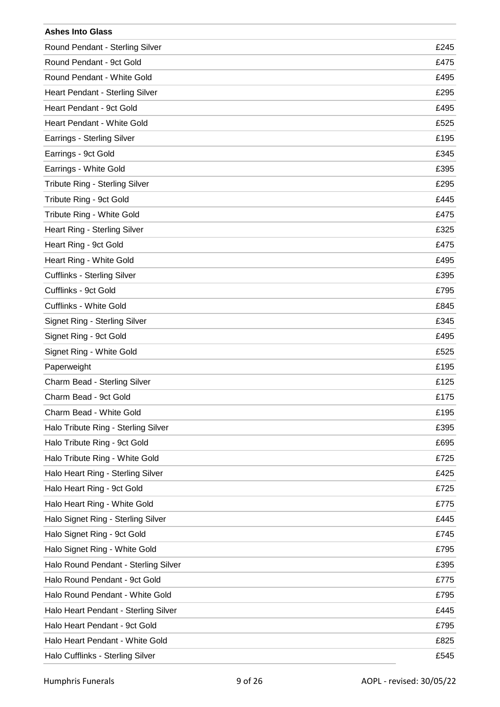| <b>Ashes Into Glass</b>              |      |
|--------------------------------------|------|
| Round Pendant - Sterling Silver      | £245 |
| Round Pendant - 9ct Gold             | £475 |
| Round Pendant - White Gold           | £495 |
| Heart Pendant - Sterling Silver      | £295 |
| Heart Pendant - 9ct Gold             | £495 |
| <b>Heart Pendant - White Gold</b>    | £525 |
| Earrings - Sterling Silver           | £195 |
| Earrings - 9ct Gold                  | £345 |
| Earrings - White Gold                | £395 |
| Tribute Ring - Sterling Silver       | £295 |
| Tribute Ring - 9ct Gold              | £445 |
| Tribute Ring - White Gold            | £475 |
| Heart Ring - Sterling Silver         | £325 |
| Heart Ring - 9ct Gold                | £475 |
| Heart Ring - White Gold              | £495 |
| <b>Cufflinks - Sterling Silver</b>   | £395 |
| Cufflinks - 9ct Gold                 | £795 |
| Cufflinks - White Gold               | £845 |
| Signet Ring - Sterling Silver        | £345 |
| Signet Ring - 9ct Gold               | £495 |
| Signet Ring - White Gold             | £525 |
| Paperweight                          | £195 |
| Charm Bead - Sterling Silver         | £125 |
| Charm Bead - 9ct Gold                | £175 |
| Charm Bead - White Gold              | £195 |
| Halo Tribute Ring - Sterling Silver  | £395 |
| Halo Tribute Ring - 9ct Gold         | £695 |
| Halo Tribute Ring - White Gold       | £725 |
| Halo Heart Ring - Sterling Silver    | £425 |
| Halo Heart Ring - 9ct Gold           | £725 |
| Halo Heart Ring - White Gold         | £775 |
| Halo Signet Ring - Sterling Silver   | £445 |
| Halo Signet Ring - 9ct Gold          | £745 |
| Halo Signet Ring - White Gold        | £795 |
| Halo Round Pendant - Sterling Silver | £395 |
| Halo Round Pendant - 9ct Gold        | £775 |
| Halo Round Pendant - White Gold      | £795 |
| Halo Heart Pendant - Sterling Silver | £445 |
| Halo Heart Pendant - 9ct Gold        | £795 |
| Halo Heart Pendant - White Gold      | £825 |
| Halo Cufflinks - Sterling Silver     | £545 |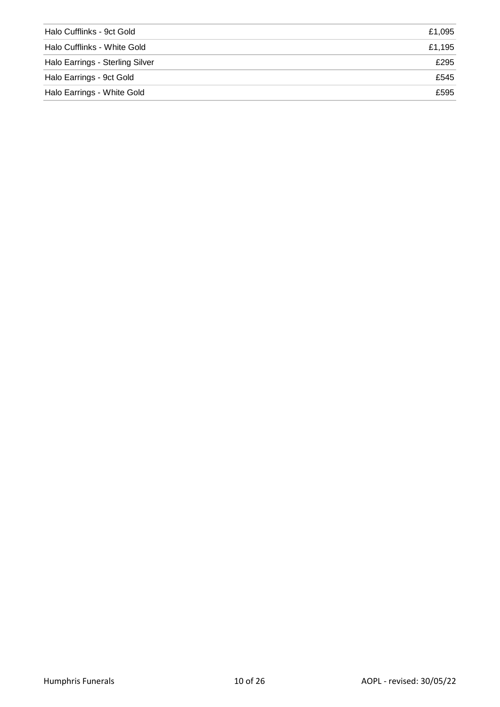| Halo Cufflinks - 9ct Gold       | £1.095 |
|---------------------------------|--------|
| Halo Cufflinks - White Gold     | £1.195 |
| Halo Earrings - Sterling Silver | £295   |
| Halo Earrings - 9ct Gold        | £545   |
| Halo Earrings - White Gold      | £595   |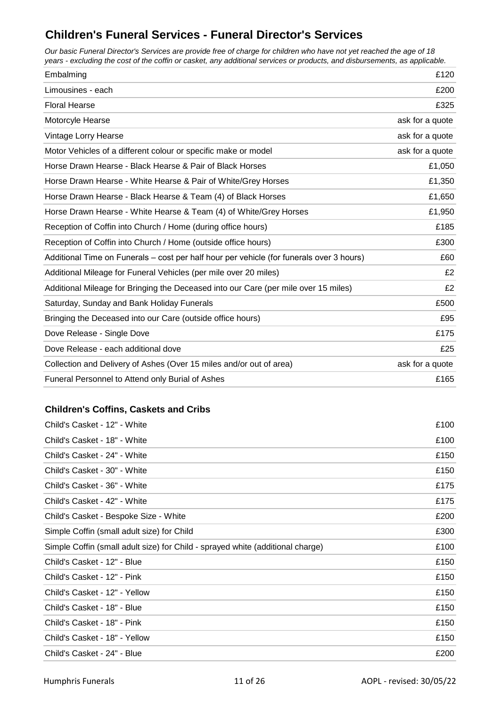#### **Children's Funeral Services - Funeral Director's Services**

*Our basic Funeral Director's Services are provide free of charge for children who have not yet reached the age of 18 years - excluding the cost of the coffin or casket, any additional services or products, and disbursements, as applicable.*

| Embalming                                                                                | £120            |
|------------------------------------------------------------------------------------------|-----------------|
| Limousines - each                                                                        | £200            |
| <b>Floral Hearse</b>                                                                     | £325            |
| Motorcyle Hearse                                                                         | ask for a quote |
| Vintage Lorry Hearse                                                                     | ask for a quote |
| Motor Vehicles of a different colour or specific make or model                           | ask for a quote |
| Horse Drawn Hearse - Black Hearse & Pair of Black Horses                                 | £1,050          |
| Horse Drawn Hearse - White Hearse & Pair of White/Grey Horses                            | £1,350          |
| Horse Drawn Hearse - Black Hearse & Team (4) of Black Horses                             | £1,650          |
| Horse Drawn Hearse - White Hearse & Team (4) of White/Grey Horses                        | £1,950          |
| Reception of Coffin into Church / Home (during office hours)                             | £185            |
| Reception of Coffin into Church / Home (outside office hours)                            | £300            |
| Additional Time on Funerals – cost per half hour per vehicle (for funerals over 3 hours) | £60             |
| Additional Mileage for Funeral Vehicles (per mile over 20 miles)                         | £2              |
| Additional Mileage for Bringing the Deceased into our Care (per mile over 15 miles)      | £2              |
| Saturday, Sunday and Bank Holiday Funerals                                               | £500            |
| Bringing the Deceased into our Care (outside office hours)                               | £95             |
| Dove Release - Single Dove                                                               | £175            |
| Dove Release - each additional dove                                                      | £25             |
| Collection and Delivery of Ashes (Over 15 miles and/or out of area)                      | ask for a quote |
| Funeral Personnel to Attend only Burial of Ashes                                         | £165            |

#### **Children's Coffins, Caskets and Cribs**

| Child's Casket - 12" - White                                                   | £100 |
|--------------------------------------------------------------------------------|------|
| Child's Casket - 18" - White                                                   | £100 |
| Child's Casket - 24" - White                                                   | £150 |
| Child's Casket - 30" - White                                                   | £150 |
| Child's Casket - 36" - White                                                   | £175 |
| Child's Casket - 42" - White                                                   | £175 |
| Child's Casket - Bespoke Size - White                                          | £200 |
| Simple Coffin (small adult size) for Child                                     | £300 |
| Simple Coffin (small adult size) for Child - sprayed white (additional charge) | £100 |
| Child's Casket - 12" - Blue                                                    | £150 |
| Child's Casket - 12" - Pink                                                    | £150 |
| Child's Casket - 12" - Yellow                                                  | £150 |
| Child's Casket - 18" - Blue                                                    | £150 |
| Child's Casket - 18" - Pink                                                    | £150 |
| Child's Casket - 18" - Yellow                                                  | £150 |
| Child's Casket - 24" - Blue                                                    | £200 |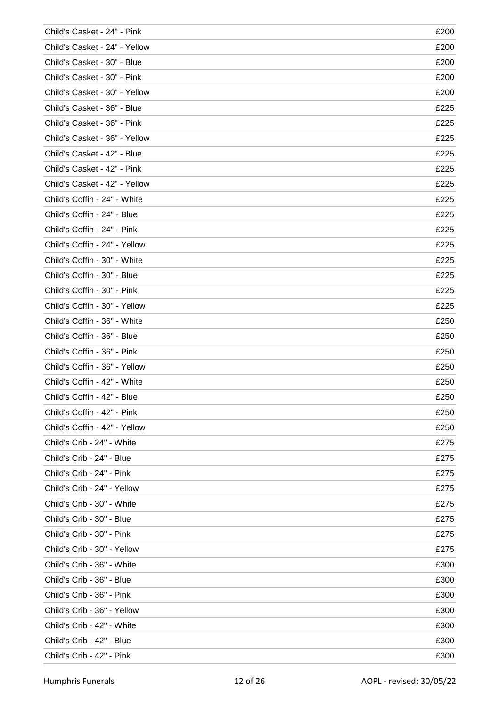| Child's Casket - 24" - Pink   | £200 |
|-------------------------------|------|
| Child's Casket - 24" - Yellow | £200 |
| Child's Casket - 30" - Blue   | £200 |
| Child's Casket - 30" - Pink   | £200 |
| Child's Casket - 30" - Yellow | £200 |
| Child's Casket - 36" - Blue   | £225 |
| Child's Casket - 36" - Pink   | £225 |
| Child's Casket - 36" - Yellow | £225 |
| Child's Casket - 42" - Blue   | £225 |
| Child's Casket - 42" - Pink   | £225 |
| Child's Casket - 42" - Yellow | £225 |
| Child's Coffin - 24" - White  | £225 |
| Child's Coffin - 24" - Blue   | £225 |
| Child's Coffin - 24" - Pink   | £225 |
| Child's Coffin - 24" - Yellow | £225 |
| Child's Coffin - 30" - White  | £225 |
| Child's Coffin - 30" - Blue   | £225 |
| Child's Coffin - 30" - Pink   | £225 |
| Child's Coffin - 30" - Yellow | £225 |
| Child's Coffin - 36" - White  | £250 |
| Child's Coffin - 36" - Blue   | £250 |
| Child's Coffin - 36" - Pink   | £250 |
| Child's Coffin - 36" - Yellow | £250 |
| Child's Coffin - 42" - White  | £250 |
| Child's Coffin - 42" - Blue   | £250 |
| Child's Coffin - 42" - Pink   | £250 |
| Child's Coffin - 42" - Yellow | £250 |
| Child's Crib - 24" - White    | £275 |
| Child's Crib - 24" - Blue     | £275 |
| Child's Crib - 24" - Pink     | £275 |
| Child's Crib - 24" - Yellow   | £275 |
| Child's Crib - 30" - White    | £275 |
| Child's Crib - 30" - Blue     | £275 |
| Child's Crib - 30" - Pink     | £275 |
| Child's Crib - 30" - Yellow   | £275 |
| Child's Crib - 36" - White    | £300 |
| Child's Crib - 36" - Blue     | £300 |
| Child's Crib - 36" - Pink     | £300 |
| Child's Crib - 36" - Yellow   | £300 |
| Child's Crib - 42" - White    | £300 |
| Child's Crib - 42" - Blue     | £300 |
| Child's Crib - 42" - Pink     | £300 |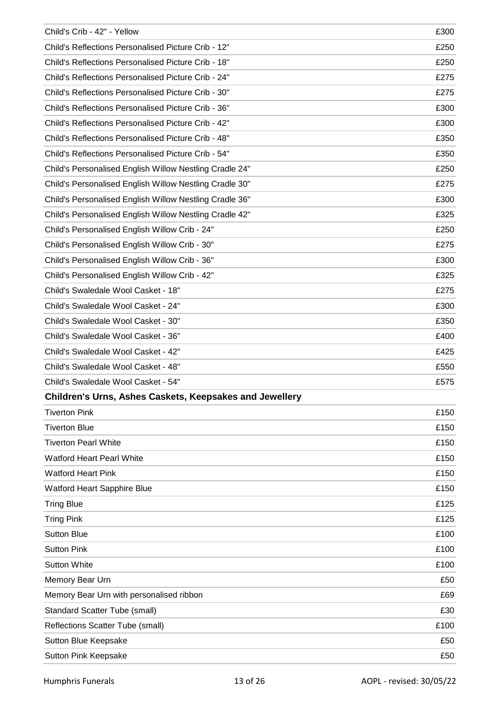| Child's Crib - 42" - Yellow                                    | £300 |
|----------------------------------------------------------------|------|
| Child's Reflections Personalised Picture Crib - 12"            | £250 |
| Child's Reflections Personalised Picture Crib - 18"            | £250 |
| Child's Reflections Personalised Picture Crib - 24"            | £275 |
| Child's Reflections Personalised Picture Crib - 30"            | £275 |
| Child's Reflections Personalised Picture Crib - 36"            | £300 |
| Child's Reflections Personalised Picture Crib - 42"            | £300 |
| Child's Reflections Personalised Picture Crib - 48"            | £350 |
| Child's Reflections Personalised Picture Crib - 54"            | £350 |
| Child's Personalised English Willow Nestling Cradle 24"        | £250 |
| Child's Personalised English Willow Nestling Cradle 30"        | £275 |
| Child's Personalised English Willow Nestling Cradle 36"        | £300 |
| Child's Personalised English Willow Nestling Cradle 42"        | £325 |
| Child's Personalised English Willow Crib - 24"                 | £250 |
| Child's Personalised English Willow Crib - 30"                 | £275 |
| Child's Personalised English Willow Crib - 36"                 | £300 |
| Child's Personalised English Willow Crib - 42"                 | £325 |
| Child's Swaledale Wool Casket - 18"                            | £275 |
| Child's Swaledale Wool Casket - 24"                            | £300 |
| Child's Swaledale Wool Casket - 30"                            | £350 |
| Child's Swaledale Wool Casket - 36"                            | £400 |
| Child's Swaledale Wool Casket - 42"                            | £425 |
| Child's Swaledale Wool Casket - 48"                            | £550 |
| Child's Swaledale Wool Casket - 54"                            | £575 |
| <b>Children's Urns, Ashes Caskets, Keepsakes and Jewellery</b> |      |
| <b>Tiverton Pink</b>                                           | £150 |
| <b>Tiverton Blue</b>                                           | £150 |
| <b>Tiverton Pearl White</b>                                    | £150 |
| <b>Watford Heart Pearl White</b>                               | £150 |
| <b>Watford Heart Pink</b>                                      | £150 |
| <b>Watford Heart Sapphire Blue</b>                             | £150 |
| <b>Tring Blue</b>                                              | £125 |
| <b>Tring Pink</b>                                              | £125 |
| <b>Sutton Blue</b>                                             | £100 |
| <b>Sutton Pink</b>                                             | £100 |
| <b>Sutton White</b>                                            | £100 |
| Memory Bear Urn                                                | £50  |
| Memory Bear Urn with personalised ribbon                       | £69  |
| <b>Standard Scatter Tube (small)</b>                           | £30  |
| Reflections Scatter Tube (small)                               | £100 |
| Sutton Blue Keepsake                                           | £50  |
| Sutton Pink Keepsake                                           | £50  |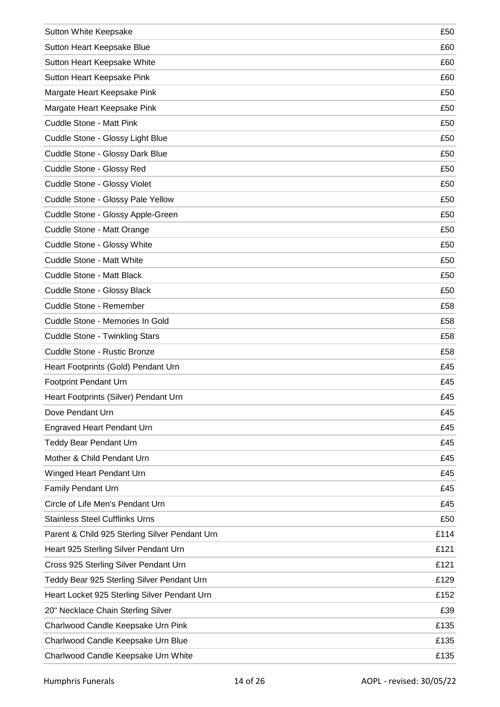| Sutton White Keepsake                          | £50  |
|------------------------------------------------|------|
| Sutton Heart Keepsake Blue                     | £60  |
| Sutton Heart Keepsake White                    | £60  |
| Sutton Heart Keepsake Pink                     | £60  |
| Margate Heart Keepsake Pink                    | £50  |
| Margate Heart Keepsake Pink                    | £50  |
| Cuddle Stone - Matt Pink                       | £50  |
| Cuddle Stone - Glossy Light Blue               | £50  |
| Cuddle Stone - Glossy Dark Blue                | £50  |
| Cuddle Stone - Glossy Red                      | £50  |
| Cuddle Stone - Glossy Violet                   | £50  |
| Cuddle Stone - Glossy Pale Yellow              | £50  |
| Cuddle Stone - Glossy Apple-Green              | £50  |
| Cuddle Stone - Matt Orange                     | £50  |
| Cuddle Stone - Glossy White                    | £50  |
| Cuddle Stone - Matt White                      | £50  |
| Cuddle Stone - Matt Black                      | £50  |
| Cuddle Stone - Glossy Black                    | £50  |
| Cuddle Stone - Remember                        | £58  |
| Cuddle Stone - Memories In Gold                | £58  |
| <b>Cuddle Stone - Twinkling Stars</b>          | £58  |
| Cuddle Stone - Rustic Bronze                   | £58  |
| Heart Footprints (Gold) Pendant Urn            | £45  |
| <b>Footprint Pendant Urn</b>                   | £45  |
| Heart Footprints (Silver) Pendant Urn          | £45  |
| Dove Pendant Urn                               | £45  |
| <b>Engraved Heart Pendant Urn</b>              | £45  |
| <b>Teddy Bear Pendant Urn</b>                  | £45  |
| Mother & Child Pendant Urn                     | £45  |
| Winged Heart Pendant Urn                       | £45  |
| <b>Family Pendant Urn</b>                      | £45  |
| Circle of Life Men's Pendant Urn               | £45  |
| <b>Stainless Steel Cufflinks Urns</b>          | £50  |
| Parent & Child 925 Sterling Silver Pendant Urn | £114 |
| Heart 925 Sterling Silver Pendant Urn          | £121 |
| Cross 925 Sterling Silver Pendant Urn          | £121 |
| Teddy Bear 925 Sterling Silver Pendant Urn     | £129 |
| Heart Locket 925 Sterling Silver Pendant Urn   | £152 |
| 20" Necklace Chain Sterling Silver             | £39  |
| Charlwood Candle Keepsake Urn Pink             | £135 |
| Charlwood Candle Keepsake Urn Blue             | £135 |
| Charlwood Candle Keepsake Urn White            | £135 |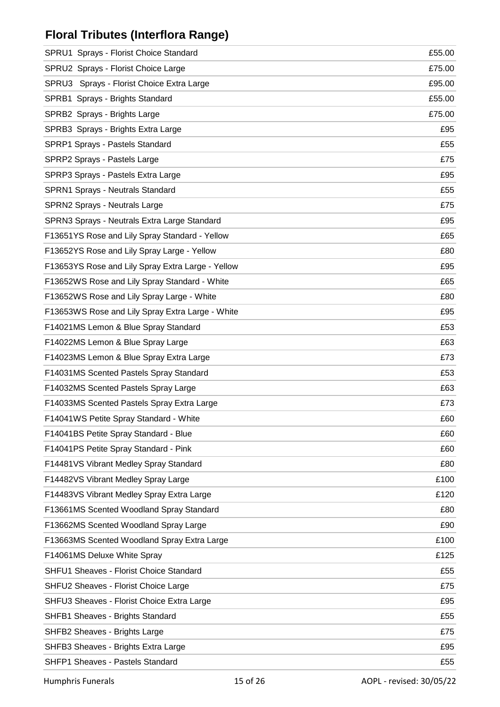# **Floral Tributes (Interflora Range)**

| SPRU1 Sprays - Florist Choice Standard            | £55.00 |
|---------------------------------------------------|--------|
| SPRU2 Sprays - Florist Choice Large               | £75.00 |
| SPRU3 Sprays - Florist Choice Extra Large         | £95.00 |
| SPRB1 Sprays - Brights Standard                   | £55.00 |
| SPRB2 Sprays - Brights Large                      | £75.00 |
| SPRB3 Sprays - Brights Extra Large                | £95    |
| SPRP1 Sprays - Pastels Standard                   | £55    |
| SPRP2 Sprays - Pastels Large                      | £75    |
| SPRP3 Sprays - Pastels Extra Large                | £95    |
| SPRN1 Sprays - Neutrals Standard                  | £55    |
| SPRN2 Sprays - Neutrals Large                     | £75    |
| SPRN3 Sprays - Neutrals Extra Large Standard      | £95    |
| F13651YS Rose and Lily Spray Standard - Yellow    | £65    |
| F13652YS Rose and Lily Spray Large - Yellow       | £80    |
| F13653YS Rose and Lily Spray Extra Large - Yellow | £95    |
| F13652WS Rose and Lily Spray Standard - White     | £65    |
| F13652WS Rose and Lily Spray Large - White        | £80    |
| F13653WS Rose and Lily Spray Extra Large - White  | £95    |
| F14021MS Lemon & Blue Spray Standard              | £53    |
| F14022MS Lemon & Blue Spray Large                 | £63    |
| F14023MS Lemon & Blue Spray Extra Large           | £73    |
| F14031MS Scented Pastels Spray Standard           | £53    |
| F14032MS Scented Pastels Spray Large              | £63    |
| F14033MS Scented Pastels Spray Extra Large        | £73    |
| F14041WS Petite Spray Standard - White            | £60    |
| F14041BS Petite Spray Standard - Blue             | £60    |
| F14041PS Petite Spray Standard - Pink             | £60    |
| F14481VS Vibrant Medley Spray Standard            | £80    |
| F14482VS Vibrant Medley Spray Large               | £100   |
| F14483VS Vibrant Medley Spray Extra Large         | £120   |
| F13661MS Scented Woodland Spray Standard          | £80    |
| F13662MS Scented Woodland Spray Large             | £90    |
| F13663MS Scented Woodland Spray Extra Large       | £100   |
| F14061MS Deluxe White Spray                       | £125   |
| SHFU1 Sheaves - Florist Choice Standard           | £55    |
| SHFU2 Sheaves - Florist Choice Large              | £75    |
| SHFU3 Sheaves - Florist Choice Extra Large        | £95    |
| SHFB1 Sheaves - Brights Standard                  | £55    |
| SHFB2 Sheaves - Brights Large                     | £75    |
| SHFB3 Sheaves - Brights Extra Large               | £95    |
| SHFP1 Sheaves - Pastels Standard                  | £55    |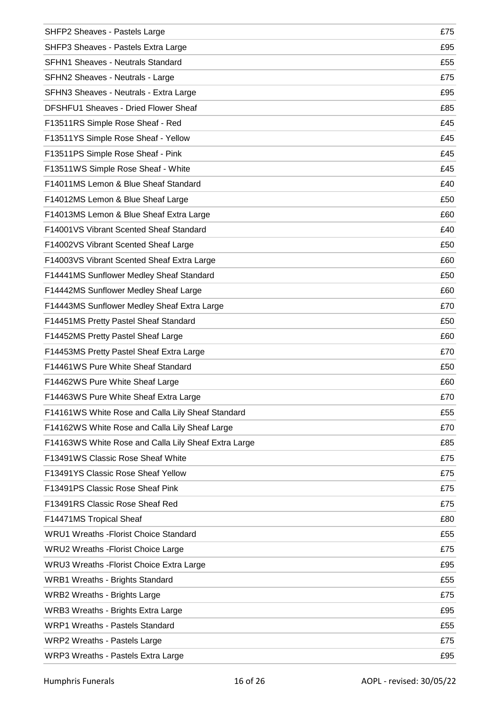| SHFP2 Sheaves - Pastels Large                        | £75  |
|------------------------------------------------------|------|
| SHFP3 Sheaves - Pastels Extra Large                  | £95  |
| <b>SFHN1 Sheaves - Neutrals Standard</b>             | £55  |
| SFHN2 Sheaves - Neutrals - Large                     | £75  |
| SFHN3 Sheaves - Neutrals - Extra Large               | £95  |
| DFSHFU1 Sheaves - Dried Flower Sheaf                 | £85  |
| F13511RS Simple Rose Sheaf - Red                     | £45  |
| F13511YS Simple Rose Sheaf - Yellow                  | £45  |
| F13511PS Simple Rose Sheaf - Pink                    | £45. |
| F13511WS Simple Rose Sheaf - White                   | £45  |
| F14011MS Lemon & Blue Sheaf Standard                 | £40  |
| F14012MS Lemon & Blue Sheaf Large                    | £50  |
| F14013MS Lemon & Blue Sheaf Extra Large              | £60  |
| F14001VS Vibrant Scented Sheaf Standard              | £40  |
| F14002VS Vibrant Scented Sheaf Large                 | £50  |
| F14003VS Vibrant Scented Sheaf Extra Large           | £60  |
| F14441MS Sunflower Medley Sheaf Standard             | £50  |
| F14442MS Sunflower Medley Sheaf Large                | £60  |
| F14443MS Sunflower Medley Sheaf Extra Large          | £70  |
| F14451MS Pretty Pastel Sheaf Standard                | £50  |
| F14452MS Pretty Pastel Sheaf Large                   | £60  |
| F14453MS Pretty Pastel Sheaf Extra Large             | £70  |
| F14461WS Pure White Sheaf Standard                   | £50  |
| F14462WS Pure White Sheaf Large                      | £60  |
| F14463WS Pure White Sheaf Extra Large                | £70  |
| F14161WS White Rose and Calla Lily Sheaf Standard    | £55  |
| F14162WS White Rose and Calla Lily Sheaf Large       | £70  |
| F14163WS White Rose and Calla Lily Sheaf Extra Large | £85  |
| F13491WS Classic Rose Sheaf White                    | £75  |
| <b>F13491YS Classic Rose Sheaf Yellow</b>            | £75  |
| F13491PS Classic Rose Sheaf Pink                     | £75  |
| F13491RS Classic Rose Sheaf Red                      | £75  |
| F14471MS Tropical Sheaf                              | £80  |
| <b>WRU1 Wreaths - Florist Choice Standard</b>        | £55  |
| <b>WRU2 Wreaths - Florist Choice Large</b>           | £75  |
| <b>WRU3 Wreaths - Florist Choice Extra Large</b>     | £95  |
| <b>WRB1 Wreaths - Brights Standard</b>               | £55  |
| <b>WRB2 Wreaths - Brights Large</b>                  | £75  |
| <b>WRB3 Wreaths - Brights Extra Large</b>            | £95  |
| <b>WRP1 Wreaths - Pastels Standard</b>               | £55  |
| <b>WRP2 Wreaths - Pastels Large</b>                  | £75  |
| WRP3 Wreaths - Pastels Extra Large                   | £95  |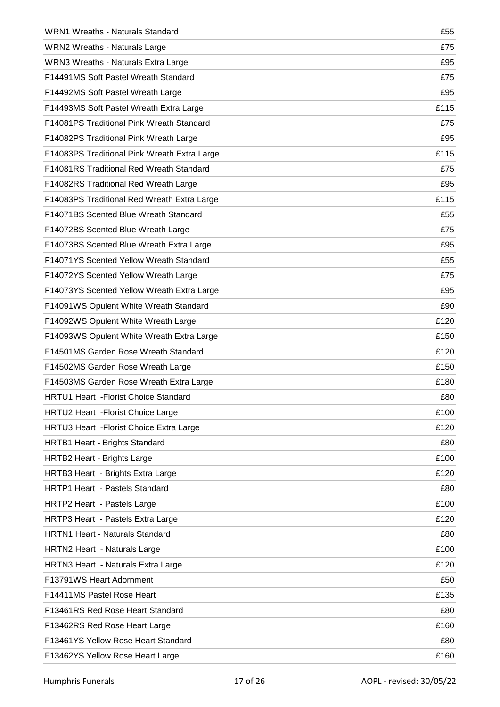| <b>WRN1 Wreaths - Naturals Standard</b>      | £55  |
|----------------------------------------------|------|
| <b>WRN2 Wreaths - Naturals Large</b>         | £75  |
| WRN3 Wreaths - Naturals Extra Large          | £95  |
| F14491MS Soft Pastel Wreath Standard         | £75  |
| F14492MS Soft Pastel Wreath Large            | £95  |
| F14493MS Soft Pastel Wreath Extra Large      | £115 |
| F14081PS Traditional Pink Wreath Standard    | £75  |
| F14082PS Traditional Pink Wreath Large       | £95  |
| F14083PS Traditional Pink Wreath Extra Large | £115 |
| F14081RS Traditional Red Wreath Standard     | £75  |
| F14082RS Traditional Red Wreath Large        | £95  |
| F14083PS Traditional Red Wreath Extra Large  | £115 |
| F14071BS Scented Blue Wreath Standard        | £55  |
| F14072BS Scented Blue Wreath Large           | £75  |
| F14073BS Scented Blue Wreath Extra Large     | £95  |
| F14071YS Scented Yellow Wreath Standard      | £55  |
| F14072YS Scented Yellow Wreath Large         | £75  |
| F14073YS Scented Yellow Wreath Extra Large   | £95  |
| F14091WS Opulent White Wreath Standard       | £90  |
| F14092WS Opulent White Wreath Large          | £120 |
| F14093WS Opulent White Wreath Extra Large    | £150 |
| F14501MS Garden Rose Wreath Standard         | £120 |
| F14502MS Garden Rose Wreath Large            | £150 |
| F14503MS Garden Rose Wreath Extra Large      | £180 |
| <b>HRTU1 Heart - Florist Choice Standard</b> | £80  |
| HRTU2 Heart - Florist Choice Large           | £100 |
| HRTU3 Heart - Florist Choice Extra Large     | £120 |
| HRTB1 Heart - Brights Standard               | £80  |
| HRTB2 Heart - Brights Large                  | £100 |
| HRTB3 Heart - Brights Extra Large            | £120 |
| HRTP1 Heart - Pastels Standard               | £80  |
| HRTP2 Heart - Pastels Large                  | £100 |
| HRTP3 Heart - Pastels Extra Large            | £120 |
| <b>HRTN1 Heart - Naturals Standard</b>       | £80  |
| HRTN2 Heart - Naturals Large                 | £100 |
| HRTN3 Heart - Naturals Extra Large           | £120 |
| F13791WS Heart Adornment                     | £50  |
| F14411MS Pastel Rose Heart                   | £135 |
| F13461RS Red Rose Heart Standard             | £80  |
| F13462RS Red Rose Heart Large                | £160 |
| F13461YS Yellow Rose Heart Standard          | £80  |
| F13462YS Yellow Rose Heart Large             | £160 |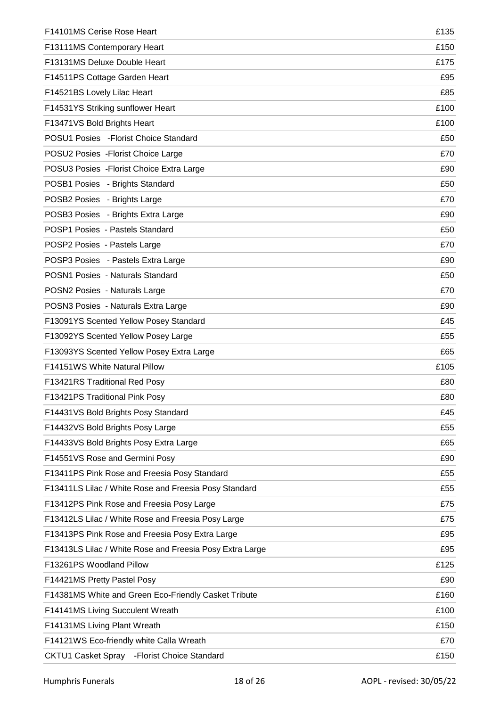| F14101MS Cerise Rose Heart                               | £135 |
|----------------------------------------------------------|------|
| F13111MS Contemporary Heart                              | £150 |
| F13131MS Deluxe Double Heart                             | £175 |
| F14511PS Cottage Garden Heart                            | £95  |
| F14521BS Lovely Lilac Heart                              | £85  |
| F14531YS Striking sunflower Heart                        | £100 |
| F13471VS Bold Brights Heart                              | £100 |
| POSU1 Posies - Florist Choice Standard                   | £50  |
| POSU2 Posies - Florist Choice Large                      | £70  |
| POSU3 Posies - Florist Choice Extra Large                | £90  |
| POSB1 Posies - Brights Standard                          | £50  |
| POSB2 Posies - Brights Large                             | £70  |
| POSB3 Posies - Brights Extra Large                       | £90  |
| POSP1 Posies - Pastels Standard                          | £50  |
| POSP2 Posies - Pastels Large                             | £70  |
| POSP3 Posies - Pastels Extra Large                       | £90  |
| POSN1 Posies - Naturals Standard                         | £50  |
| POSN2 Posies - Naturals Large                            | £70  |
| POSN3 Posies - Naturals Extra Large                      | £90  |
| F13091YS Scented Yellow Posey Standard                   | £45  |
| F13092YS Scented Yellow Posey Large                      | £55  |
| F13093YS Scented Yellow Posey Extra Large                | £65  |
| F14151WS White Natural Pillow                            | £105 |
| F13421RS Traditional Red Posy                            | £80  |
| F13421PS Traditional Pink Posy                           | £80  |
| F14431VS Bold Brights Posy Standard                      | £45  |
| F14432VS Bold Brights Posy Large                         | £55  |
| F14433VS Bold Brights Posy Extra Large                   | £65  |
| F14551VS Rose and Germini Posy                           | £90  |
| F13411PS Pink Rose and Freesia Posy Standard             | £55  |
| F13411LS Lilac / White Rose and Freesia Posy Standard    | £55  |
| F13412PS Pink Rose and Freesia Posy Large                | £75  |
| F13412LS Lilac / White Rose and Freesia Posy Large       | £75  |
| F13413PS Pink Rose and Freesia Posy Extra Large          | £95  |
| F13413LS Lilac / White Rose and Freesia Posy Extra Large | £95  |
| F13261PS Woodland Pillow                                 | £125 |
| F14421MS Pretty Pastel Posy                              | £90  |
| F14381MS White and Green Eco-Friendly Casket Tribute     | £160 |
| F14141MS Living Succulent Wreath                         | £100 |
| F14131MS Living Plant Wreath                             | £150 |
| F14121WS Eco-friendly white Calla Wreath                 | £70  |
| CKTU1 Casket Spray - Florist Choice Standard             | £150 |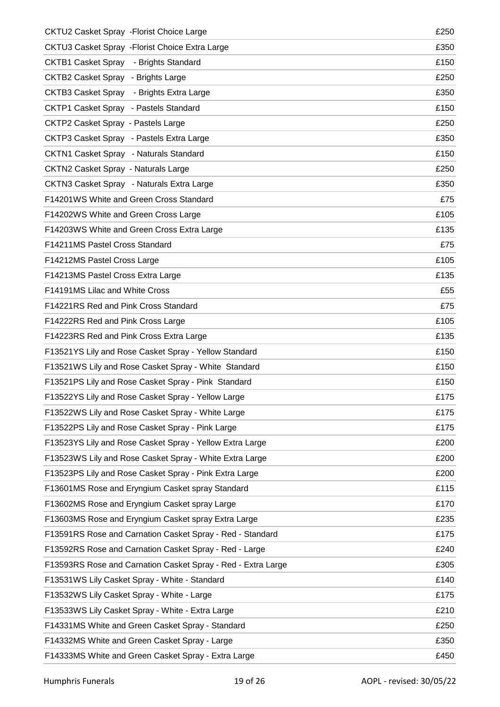| CKTU2 Casket Spray - Florist Choice Large                    | £250 |
|--------------------------------------------------------------|------|
| CKTU3 Casket Spray - Florist Choice Extra Large              | £350 |
| CKTB1 Casket Spray - Brights Standard                        | £150 |
| CKTB2 Casket Spray - Brights Large                           | £250 |
| CKTB3 Casket Spray - Brights Extra Large                     | £350 |
| CKTP1 Casket Spray - Pastels Standard                        | £150 |
| <b>CKTP2 Casket Spray - Pastels Large</b>                    | £250 |
| CKTP3 Casket Spray - Pastels Extra Large                     | £350 |
| CKTN1 Casket Spray - Naturals Standard                       | £150 |
| <b>CKTN2 Casket Spray - Naturals Large</b>                   | £250 |
| CKTN3 Casket Spray - Naturals Extra Large                    | £350 |
| F14201WS White and Green Cross Standard                      | £75  |
| F14202WS White and Green Cross Large                         | £105 |
| F14203WS White and Green Cross Extra Large                   | £135 |
| F14211MS Pastel Cross Standard                               | £75  |
| F14212MS Pastel Cross Large                                  | £105 |
| F14213MS Pastel Cross Extra Large                            | £135 |
| F14191MS Lilac and White Cross                               | £55  |
| F14221RS Red and Pink Cross Standard                         | £75  |
| F14222RS Red and Pink Cross Large                            | £105 |
| F14223RS Red and Pink Cross Extra Large                      | £135 |
| F13521YS Lily and Rose Casket Spray - Yellow Standard        | £150 |
| F13521WS Lily and Rose Casket Spray - White Standard         | £150 |
| F13521PS Lily and Rose Casket Spray - Pink Standard          | £150 |
| F13522YS Lily and Rose Casket Spray - Yellow Large           | £175 |
| F13522WS Lily and Rose Casket Spray - White Large            | £175 |
| F13522PS Lily and Rose Casket Spray - Pink Large             | £175 |
| F13523YS Lily and Rose Casket Spray - Yellow Extra Large     | £200 |
| F13523WS Lily and Rose Casket Spray - White Extra Large      | £200 |
| F13523PS Lily and Rose Casket Spray - Pink Extra Large       | £200 |
| F13601MS Rose and Eryngium Casket spray Standard             | £115 |
| F13602MS Rose and Eryngium Casket spray Large                | £170 |
| F13603MS Rose and Eryngium Casket spray Extra Large          | £235 |
| F13591RS Rose and Carnation Casket Spray - Red - Standard    | £175 |
| F13592RS Rose and Carnation Casket Spray - Red - Large       | £240 |
| F13593RS Rose and Carnation Casket Spray - Red - Extra Large | £305 |
| F13531WS Lily Casket Spray - White - Standard                | £140 |
| F13532WS Lily Casket Spray - White - Large                   | £175 |
| F13533WS Lily Casket Spray - White - Extra Large             | £210 |
| F14331MS White and Green Casket Spray - Standard             | £250 |
| F14332MS White and Green Casket Spray - Large                | £350 |
| F14333MS White and Green Casket Spray - Extra Large          | £450 |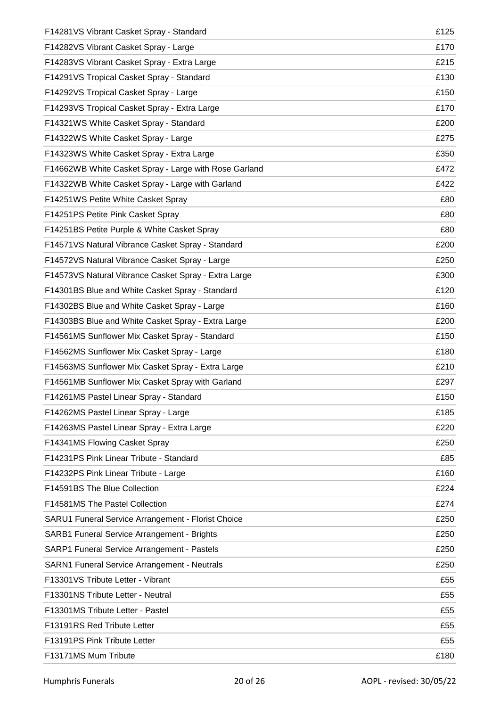| F14281VS Vibrant Casket Spray - Standard              | £125 |
|-------------------------------------------------------|------|
| F14282VS Vibrant Casket Spray - Large                 | £170 |
| F14283VS Vibrant Casket Spray - Extra Large           | £215 |
| F14291VS Tropical Casket Spray - Standard             | £130 |
| F14292VS Tropical Casket Spray - Large                | £150 |
| F14293VS Tropical Casket Spray - Extra Large          | £170 |
| F14321WS White Casket Spray - Standard                | £200 |
| F14322WS White Casket Spray - Large                   | £275 |
| F14323WS White Casket Spray - Extra Large             | £350 |
| F14662WB White Casket Spray - Large with Rose Garland | £472 |
| F14322WB White Casket Spray - Large with Garland      | £422 |
| F14251WS Petite White Casket Spray                    | £80  |
| F14251PS Petite Pink Casket Spray                     | £80  |
| F14251BS Petite Purple & White Casket Spray           | £80  |
| F14571VS Natural Vibrance Casket Spray - Standard     | £200 |
| F14572VS Natural Vibrance Casket Spray - Large        | £250 |
| F14573VS Natural Vibrance Casket Spray - Extra Large  | £300 |
| F14301BS Blue and White Casket Spray - Standard       | £120 |
| F14302BS Blue and White Casket Spray - Large          | £160 |
| F14303BS Blue and White Casket Spray - Extra Large    | £200 |
| F14561MS Sunflower Mix Casket Spray - Standard        | £150 |
| F14562MS Sunflower Mix Casket Spray - Large           | £180 |
| F14563MS Sunflower Mix Casket Spray - Extra Large     | £210 |
| F14561MB Sunflower Mix Casket Spray with Garland      | £297 |
| F14261MS Pastel Linear Spray - Standard               | £150 |
| F14262MS Pastel Linear Spray - Large                  | £185 |
| F14263MS Pastel Linear Spray - Extra Large            | £220 |
| F14341MS Flowing Casket Spray                         | £250 |
| F14231PS Pink Linear Tribute - Standard               | £85  |
| F14232PS Pink Linear Tribute - Large                  | £160 |
| F14591BS The Blue Collection                          | £224 |
| F14581MS The Pastel Collection                        | £274 |
| SARU1 Funeral Service Arrangement - Florist Choice    | £250 |
| SARB1 Funeral Service Arrangement - Brights           | £250 |
| SARP1 Funeral Service Arrangement - Pastels           | £250 |
| SARN1 Funeral Service Arrangement - Neutrals          | £250 |
| F13301VS Tribute Letter - Vibrant                     | £55  |
| F13301NS Tribute Letter - Neutral                     | £55  |
| F13301MS Tribute Letter - Pastel                      | £55  |
| F13191RS Red Tribute Letter                           | £55  |
| F13191PS Pink Tribute Letter                          | £55  |
| F13171MS Mum Tribute                                  | £180 |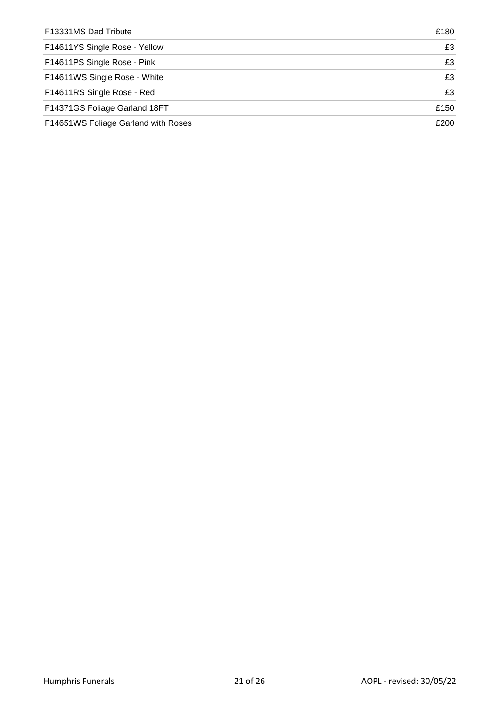| F13331MS Dad Tribute                | £180 |
|-------------------------------------|------|
| F14611YS Single Rose - Yellow       | £3   |
| F14611PS Single Rose - Pink         | £3   |
| F14611WS Single Rose - White        | £3   |
| F14611RS Single Rose - Red          | £3   |
| F14371GS Foliage Garland 18FT       | £150 |
| F14651WS Foliage Garland with Roses | £200 |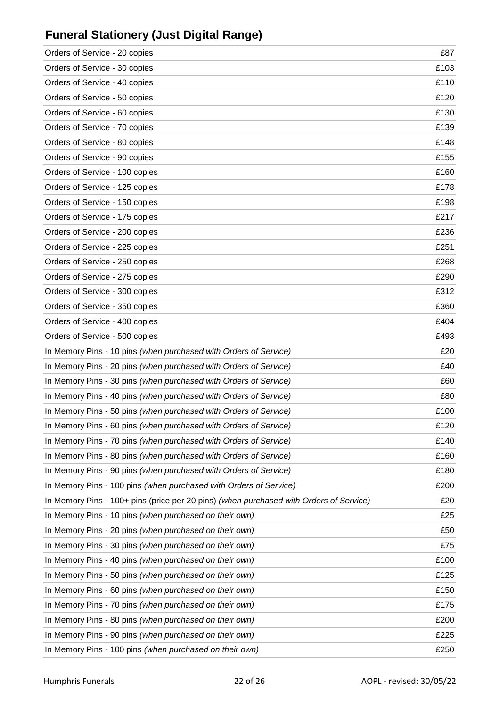# **Funeral Stationery (Just Digital Range)**

| Orders of Service - 20 copies                                                          | £87  |
|----------------------------------------------------------------------------------------|------|
| Orders of Service - 30 copies                                                          | £103 |
| Orders of Service - 40 copies                                                          | £110 |
| Orders of Service - 50 copies                                                          | £120 |
| Orders of Service - 60 copies                                                          | £130 |
| Orders of Service - 70 copies                                                          | £139 |
| Orders of Service - 80 copies                                                          | £148 |
| Orders of Service - 90 copies                                                          | £155 |
| Orders of Service - 100 copies                                                         | £160 |
| Orders of Service - 125 copies                                                         | £178 |
| Orders of Service - 150 copies                                                         | £198 |
| Orders of Service - 175 copies                                                         | £217 |
| Orders of Service - 200 copies                                                         | £236 |
| Orders of Service - 225 copies                                                         | £251 |
| Orders of Service - 250 copies                                                         | £268 |
| Orders of Service - 275 copies                                                         | £290 |
| Orders of Service - 300 copies                                                         | £312 |
| Orders of Service - 350 copies                                                         | £360 |
| Orders of Service - 400 copies                                                         | £404 |
| Orders of Service - 500 copies                                                         | £493 |
| In Memory Pins - 10 pins (when purchased with Orders of Service)                       | £20  |
| In Memory Pins - 20 pins (when purchased with Orders of Service)                       | £40  |
| In Memory Pins - 30 pins (when purchased with Orders of Service)                       | £60  |
| In Memory Pins - 40 pins (when purchased with Orders of Service)                       | £80  |
| In Memory Pins - 50 pins (when purchased with Orders of Service)                       | £100 |
| In Memory Pins - 60 pins (when purchased with Orders of Service)                       | £120 |
| In Memory Pins - 70 pins (when purchased with Orders of Service)                       | £140 |
| In Memory Pins - 80 pins (when purchased with Orders of Service)                       | £160 |
| In Memory Pins - 90 pins (when purchased with Orders of Service)                       | £180 |
| In Memory Pins - 100 pins (when purchased with Orders of Service)                      | £200 |
| In Memory Pins - 100+ pins (price per 20 pins) (when purchased with Orders of Service) | £20  |
| In Memory Pins - 10 pins (when purchased on their own)                                 | £25  |
| In Memory Pins - 20 pins (when purchased on their own)                                 | £50  |
| In Memory Pins - 30 pins (when purchased on their own)                                 | £75  |
| In Memory Pins - 40 pins (when purchased on their own)                                 | £100 |
| In Memory Pins - 50 pins (when purchased on their own)                                 | £125 |
| In Memory Pins - 60 pins (when purchased on their own)                                 | £150 |
| In Memory Pins - 70 pins (when purchased on their own)                                 | £175 |
| In Memory Pins - 80 pins (when purchased on their own)                                 | £200 |
| In Memory Pins - 90 pins (when purchased on their own)                                 | £225 |
| In Memory Pins - 100 pins (when purchased on their own)                                | £250 |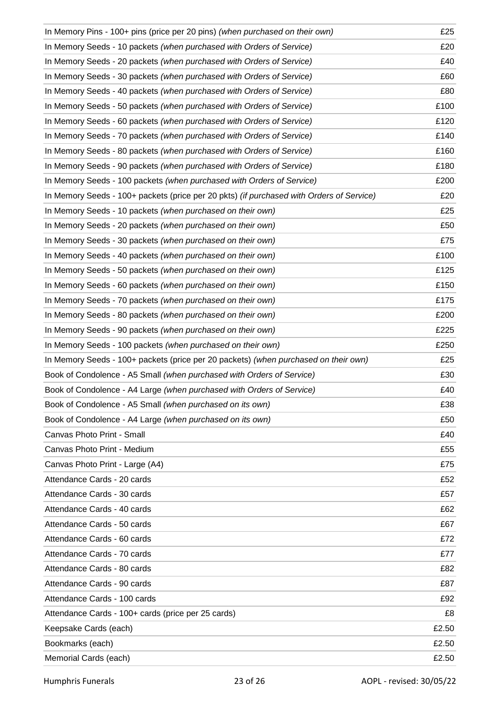| In Memory Pins - 100+ pins (price per 20 pins) (when purchased on their own)             | £25   |
|------------------------------------------------------------------------------------------|-------|
| In Memory Seeds - 10 packets (when purchased with Orders of Service)                     | £20   |
| In Memory Seeds - 20 packets (when purchased with Orders of Service)                     | £40   |
| In Memory Seeds - 30 packets (when purchased with Orders of Service)                     | £60   |
| In Memory Seeds - 40 packets (when purchased with Orders of Service)                     | £80   |
| In Memory Seeds - 50 packets (when purchased with Orders of Service)                     | £100  |
| In Memory Seeds - 60 packets (when purchased with Orders of Service)                     | £120  |
| In Memory Seeds - 70 packets (when purchased with Orders of Service)                     | £140  |
| In Memory Seeds - 80 packets (when purchased with Orders of Service)                     | £160  |
| In Memory Seeds - 90 packets (when purchased with Orders of Service)                     | £180  |
| In Memory Seeds - 100 packets (when purchased with Orders of Service)                    | £200  |
| In Memory Seeds - 100+ packets (price per 20 pkts) (if purchased with Orders of Service) | £20   |
| In Memory Seeds - 10 packets (when purchased on their own)                               | £25   |
| In Memory Seeds - 20 packets (when purchased on their own)                               | £50   |
| In Memory Seeds - 30 packets (when purchased on their own)                               | £75   |
| In Memory Seeds - 40 packets (when purchased on their own)                               | £100  |
| In Memory Seeds - 50 packets (when purchased on their own)                               | £125  |
| In Memory Seeds - 60 packets (when purchased on their own)                               | £150  |
| In Memory Seeds - 70 packets (when purchased on their own)                               | £175  |
| In Memory Seeds - 80 packets (when purchased on their own)                               | £200  |
| In Memory Seeds - 90 packets (when purchased on their own)                               | £225  |
| In Memory Seeds - 100 packets (when purchased on their own)                              | £250  |
| In Memory Seeds - 100+ packets (price per 20 packets) (when purchased on their own)      | £25   |
| Book of Condolence - A5 Small (when purchased with Orders of Service)                    | £30   |
| Book of Condolence - A4 Large (when purchased with Orders of Service)                    | £40   |
| Book of Condolence - A5 Small (when purchased on its own)                                | £38   |
| Book of Condolence - A4 Large (when purchased on its own)                                | £50   |
| Canvas Photo Print - Small                                                               | £40   |
| Canvas Photo Print - Medium                                                              | £55   |
| Canvas Photo Print - Large (A4)                                                          | £75   |
| Attendance Cards - 20 cards                                                              | £52   |
| Attendance Cards - 30 cards                                                              | £57   |
| Attendance Cards - 40 cards                                                              | £62   |
| Attendance Cards - 50 cards                                                              | £67   |
| Attendance Cards - 60 cards                                                              | £72   |
| Attendance Cards - 70 cards                                                              | £77   |
| Attendance Cards - 80 cards                                                              | £82   |
| Attendance Cards - 90 cards                                                              | £87   |
| Attendance Cards - 100 cards                                                             | £92   |
| Attendance Cards - 100+ cards (price per 25 cards)                                       | £8    |
| Keepsake Cards (each)                                                                    | £2.50 |
| Bookmarks (each)                                                                         | £2.50 |
| Memorial Cards (each)                                                                    | £2.50 |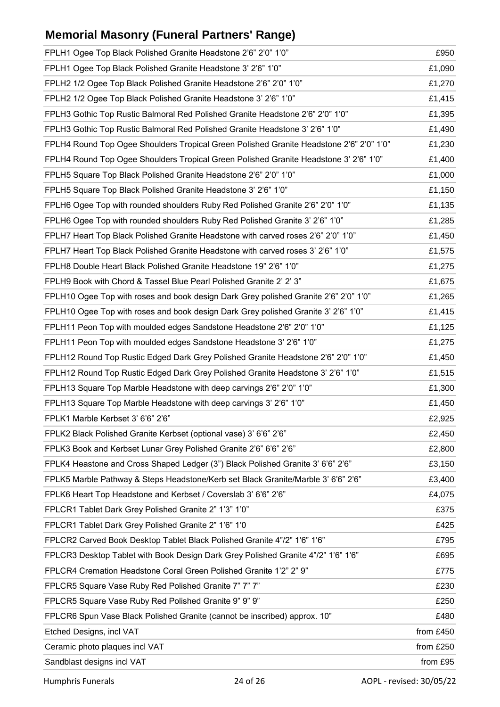# **Memorial Masonry (Funeral Partners' Range)**

| FPLH1 Ogee Top Black Polished Granite Headstone 2'6" 2'0" 1'0"                          | £950      |
|-----------------------------------------------------------------------------------------|-----------|
| FPLH1 Ogee Top Black Polished Granite Headstone 3' 2'6" 1'0"                            | £1,090    |
| FPLH2 1/2 Ogee Top Black Polished Granite Headstone 2'6" 2'0" 1'0"                      | £1,270    |
| FPLH2 1/2 Ogee Top Black Polished Granite Headstone 3' 2'6" 1'0"                        | £1,415    |
| FPLH3 Gothic Top Rustic Balmoral Red Polished Granite Headstone 2'6" 2'0" 1'0"          | £1,395    |
| FPLH3 Gothic Top Rustic Balmoral Red Polished Granite Headstone 3' 2'6" 1'0"            | £1,490    |
| FPLH4 Round Top Ogee Shoulders Tropical Green Polished Granite Headstone 2'6" 2'0" 1'0" | £1,230    |
| FPLH4 Round Top Ogee Shoulders Tropical Green Polished Granite Headstone 3' 2'6" 1'0"   | £1,400    |
| FPLH5 Square Top Black Polished Granite Headstone 2'6" 2'0" 1'0"                        | £1,000    |
| FPLH5 Square Top Black Polished Granite Headstone 3' 2'6" 1'0"                          | £1,150    |
| FPLH6 Ogee Top with rounded shoulders Ruby Red Polished Granite 2'6" 2'0" 1'0"          | £1,135    |
| FPLH6 Ogee Top with rounded shoulders Ruby Red Polished Granite 3' 2'6" 1'0"            | £1,285    |
| FPLH7 Heart Top Black Polished Granite Headstone with carved roses 2'6" 2'0" 1'0"       | £1,450    |
| FPLH7 Heart Top Black Polished Granite Headstone with carved roses 3' 2'6" 1'0"         | £1,575    |
| FPLH8 Double Heart Black Polished Granite Headstone 19" 2'6" 1'0"                       | £1,275    |
| FPLH9 Book with Chord & Tassel Blue Pearl Polished Granite 2' 2' 3"                     | £1,675    |
| FPLH10 Ogee Top with roses and book design Dark Grey polished Granite 2'6" 2'0" 1'0"    | £1,265    |
| FPLH10 Ogee Top with roses and book design Dark Grey polished Granite 3' 2'6" 1'0"      | £1,415    |
| FPLH11 Peon Top with moulded edges Sandstone Headstone 2'6" 2'0" 1'0"                   | £1,125    |
| FPLH11 Peon Top with moulded edges Sandstone Headstone 3' 2'6" 1'0"                     | £1,275    |
| FPLH12 Round Top Rustic Edged Dark Grey Polished Granite Headstone 2'6" 2'0" 1'0"       | £1,450    |
| FPLH12 Round Top Rustic Edged Dark Grey Polished Granite Headstone 3' 2'6" 1'0"         | £1,515    |
| FPLH13 Square Top Marble Headstone with deep carvings 2'6" 2'0" 1'0"                    | £1,300    |
| FPLH13 Square Top Marble Headstone with deep carvings 3' 2'6" 1'0"                      | £1,450    |
| FPLK1 Marble Kerbset 3' 6'6" 2'6"                                                       | £2,925    |
| FPLK2 Black Polished Granite Kerbset (optional vase) 3' 6'6" 2'6"                       | £2,450    |
| FPLK3 Book and Kerbset Lunar Grey Polished Granite 2'6" 6'6" 2'6"                       | £2,800    |
| FPLK4 Heastone and Cross Shaped Ledger (3") Black Polished Granite 3' 6'6" 2'6"         | £3,150    |
| FPLK5 Marble Pathway & Steps Headstone/Kerb set Black Granite/Marble 3' 6'6" 2'6"       | £3,400    |
| FPLK6 Heart Top Headstone and Kerbset / Coverslab 3' 6'6" 2'6"                          | £4,075    |
| FPLCR1 Tablet Dark Grey Polished Granite 2" 1'3" 1'0"                                   | £375      |
| FPLCR1 Tablet Dark Grey Polished Granite 2" 1'6" 1'0                                    | £425      |
| FPLCR2 Carved Book Desktop Tablet Black Polished Granite 4"/2" 1'6" 1'6"                | £795      |
| FPLCR3 Desktop Tablet with Book Design Dark Grey Polished Granite 4"/2" 1'6" 1'6"       | £695      |
| FPLCR4 Cremation Headstone Coral Green Polished Granite 1'2" 2" 9"                      | £775      |
| FPLCR5 Square Vase Ruby Red Polished Granite 7" 7" 7"                                   | £230      |
| FPLCR5 Square Vase Ruby Red Polished Granite 9" 9" 9"                                   | £250      |
| FPLCR6 Spun Vase Black Polished Granite (cannot be inscribed) approx. 10"               | £480      |
| Etched Designs, incl VAT                                                                | from £450 |
| Ceramic photo plaques incl VAT                                                          | from £250 |
| Sandblast designs incl VAT                                                              | from £95  |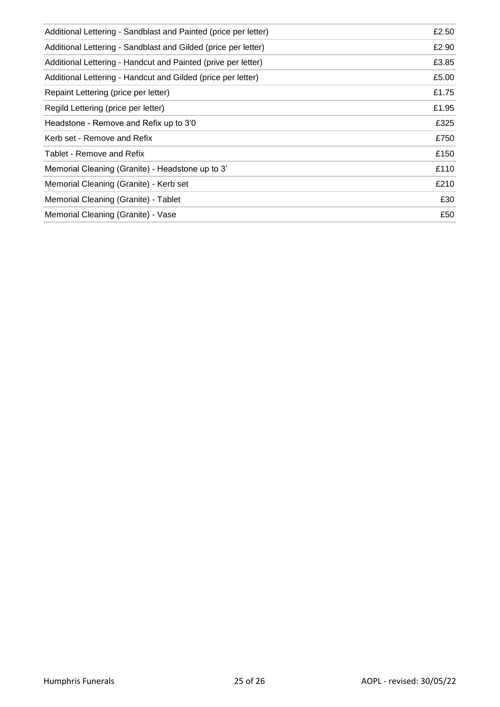| Additional Lettering - Sandblast and Painted (price per letter) | £2.50 |
|-----------------------------------------------------------------|-------|
| Additional Lettering - Sandblast and Gilded (price per letter)  | £2.90 |
| Additional Lettering - Handcut and Painted (prive per letter)   | £3.85 |
| Additional Lettering - Handcut and Gilded (price per letter)    | £5.00 |
| Repaint Lettering (price per letter)                            | £1.75 |
| Regild Lettering (price per letter)                             | £1.95 |
| Headstone - Remove and Refix up to 3'0                          | £325  |
| Kerb set - Remove and Refix                                     | £750  |
| Tablet - Remove and Refix                                       | £150  |
| Memorial Cleaning (Granite) - Headstone up to 3'                | £110  |
| Memorial Cleaning (Granite) - Kerb set                          | £210  |
| Memorial Cleaning (Granite) - Tablet                            | £30   |
| Memorial Cleaning (Granite) - Vase                              | £50   |